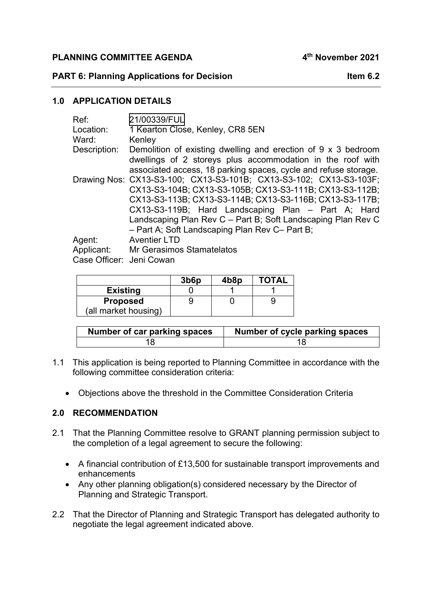**PLANNING COMMITTEE AGENDA 4th November 2021** 

#### **PART 6: Planning Applications for Decision Item 6.2**

### **1.0 APPLICATION DETAILS**

| Ref:                                                                          | 21/00339/FUL                                                       |  |  |  |  |
|-------------------------------------------------------------------------------|--------------------------------------------------------------------|--|--|--|--|
| Location:                                                                     | 1 Kearton Close, Kenley, CR8 5EN                                   |  |  |  |  |
| Ward:                                                                         | Kenley                                                             |  |  |  |  |
| Demolition of existing dwelling and erection of 9 x 3 bedroom<br>Description: |                                                                    |  |  |  |  |
|                                                                               | dwellings of 2 storeys plus accommodation in the roof with         |  |  |  |  |
|                                                                               | associated access, 18 parking spaces, cycle and refuse storage.    |  |  |  |  |
|                                                                               | Drawing Nos: CX13-S3-100; CX13-S3-101B; CX13-S3-102; CX13-S3-103F; |  |  |  |  |
|                                                                               | CX13-S3-104B; CX13-S3-105B; CX13-S3-111B; CX13-S3-112B;            |  |  |  |  |
|                                                                               | CX13-S3-113B; CX13-S3-114B; CX13-S3-116B; CX13-S3-117B;            |  |  |  |  |
|                                                                               | CX13-S3-119B; Hard Landscaping Plan - Part A; Hard                 |  |  |  |  |
|                                                                               | Landscaping Plan Rev C - Part B; Soft Landscaping Plan Rev C       |  |  |  |  |
|                                                                               | - Part A; Soft Landscaping Plan Rev C- Part B;                     |  |  |  |  |
| Agent:                                                                        | <b>Aventier LTD</b>                                                |  |  |  |  |
| Applicant:                                                                    | <b>Mr Gerasimos Stamatelatos</b>                                   |  |  |  |  |
| Case Officer: Jeni Cowan                                                      |                                                                    |  |  |  |  |

|                      | 3 <sub>b6p</sub> | 4b8p | <b>TOTAL</b> |
|----------------------|------------------|------|--------------|
| <b>Existing</b>      |                  |      |              |
| <b>Proposed</b>      |                  |      |              |
| (all market housing) |                  |      |              |

| Number of car parking spaces | Number of cycle parking spaces |
|------------------------------|--------------------------------|
|                              |                                |

- 1.1 This application is being reported to Planning Committee in accordance with the following committee consideration criteria:
	- Objections above the threshold in the Committee Consideration Criteria

#### **2.0 RECOMMENDATION**

- 2.1 That the Planning Committee resolve to GRANT planning permission subject to the completion of a legal agreement to secure the following:
	- A financial contribution of £13,500 for sustainable transport improvements and enhancements
	- Any other planning obligation(s) considered necessary by the Director of Planning and Strategic Transport.
- 2.2 That the Director of Planning and Strategic Transport has delegated authority to negotiate the legal agreement indicated above.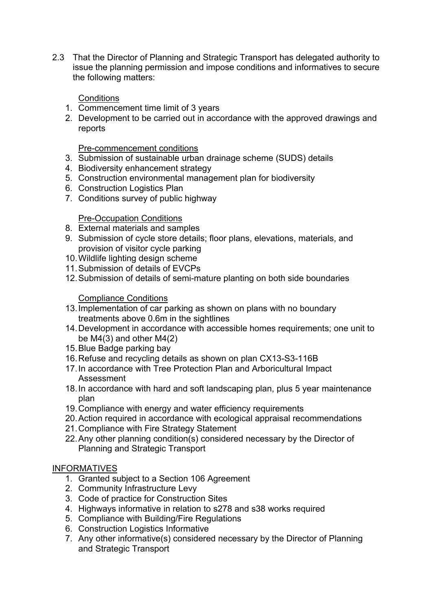2.3 That the Director of Planning and Strategic Transport has delegated authority to issue the planning permission and impose conditions and informatives to secure the following matters:

# **Conditions**

- 1. Commencement time limit of 3 years
- 2. Development to be carried out in accordance with the approved drawings and reports

Pre-commencement conditions

- 3. Submission of sustainable urban drainage scheme (SUDS) details
- 4. Biodiversity enhancement strategy
- 5. Construction environmental management plan for biodiversity
- 6. Construction Logistics Plan
- 7. Conditions survey of public highway

# Pre-Occupation Conditions

- 8. External materials and samples
- 9. Submission of cycle store details; floor plans, elevations, materials, and provision of visitor cycle parking
- 10. Wildlife lighting design scheme
- 11. Submission of details of EVCPs
- 12. Submission of details of semi-mature planting on both side boundaries

# Compliance Conditions

- 13. Implementation of car parking as shown on plans with no boundary treatments above 0.6m in the sightlines
- 14. Development in accordance with accessible homes requirements; one unit to be  $M4(3)$  and other  $M4(2)$
- 15. Blue Badge parking bay
- 16. Refuse and recycling details as shown on plan CX13-S3-116B
- 17. In accordance with Tree Protection Plan and Arboricultural Impact Assessment
- 18. In accordance with hard and soft landscaping plan, plus 5 year maintenance plan
- 19. Compliance with energy and water efficiency requirements
- 20. Action required in accordance with ecological appraisal recommendations
- 21. Compliance with Fire Strategy Statement
- 22. Any other planning condition(s) considered necessary by the Director of Planning and Strategic Transport

#### INFORMATIVES

- 1. Granted subject to a Section 106 Agreement
- 2. Community Infrastructure Levy
- 3. Code of practice for Construction Sites
- 4. Highways informative in relation to s278 and s38 works required
- 5. Compliance with Building/Fire Regulations
- 6. Construction Logistics Informative
- 7. Any other informative(s) considered necessary by the Director of Planning and Strategic Transport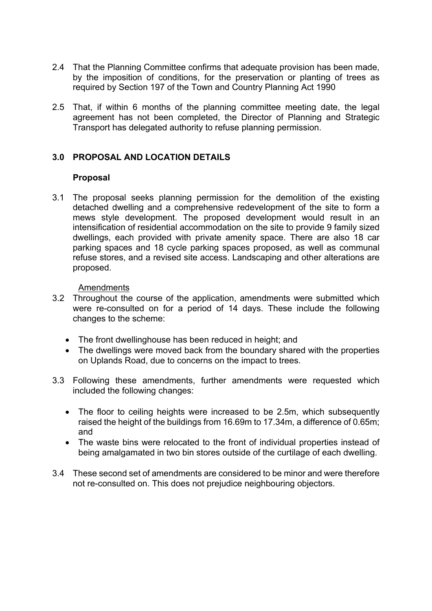- 2.4 That the Planning Committee confirms that adequate provision has been made, by the imposition of conditions, for the preservation or planting of trees as required by Section 197 of the Town and Country Planning Act 1990
- 2.5 That, if within 6 months of the planning committee meeting date, the legal agreement has not been completed, the Director of Planning and Strategic Transport has delegated authority to refuse planning permission.

# **3.0 PROPOSAL AND LOCATION DETAILS**

#### **Proposal**

3.1 The proposal seeks planning permission for the demolition of the existing detached dwelling and a comprehensive redevelopment of the site to form a mews style development. The proposed development would result in an intensification of residential accommodation on the site to provide 9 family sized dwellings, each provided with private amenity space. There are also 18 car parking spaces and 18 cycle parking spaces proposed, as well as communal refuse stores, and a revised site access. Landscaping and other alterations are proposed.

#### Amendments

- 3.2 Throughout the course of the application, amendments were submitted which were re-consulted on for a period of 14 days. These include the following changes to the scheme:
	- The front dwellinghouse has been reduced in height; and
	- The dwellings were moved back from the boundary shared with the properties on Uplands Road, due to concerns on the impact to trees.
- 3.3 Following these amendments, further amendments were requested which included the following changes:
	- The floor to ceiling heights were increased to be 2.5m, which subsequently raised the height of the buildings from 16.69m to 17.34m, a difference of 0.65m; and
	- The waste bins were relocated to the front of individual properties instead of being amalgamated in two bin stores outside of the curtilage of each dwelling.
- 3.4 These second set of amendments are considered to be minor and were therefore not re-consulted on. This does not prejudice neighbouring objectors.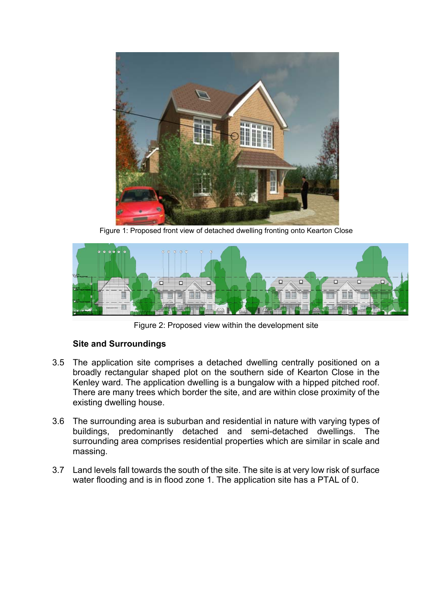

Figure 1: Proposed front view of detached dwelling fronting onto Kearton Close



Figure 2: Proposed view within the development site

# **Site and Surroundings**

- 3.5 The application site comprises a detached dwelling centrally positioned on a broadly rectangular shaped plot on the southern side of Kearton Close in the Kenley ward. The application dwelling is a bungalow with a hipped pitched roof. There are many trees which border the site, and are within close proximity of the existing dwelling house.
- 3.6 The surrounding area is suburban and residential in nature with varying types of buildings, predominantly detached and semi-detached dwellings. The surrounding area comprises residential properties which are similar in scale and massing.
- 3.7 Land levels fall towards the south of the site. The site is at very low risk of surface water flooding and is in flood zone 1. The application site has a PTAL of 0.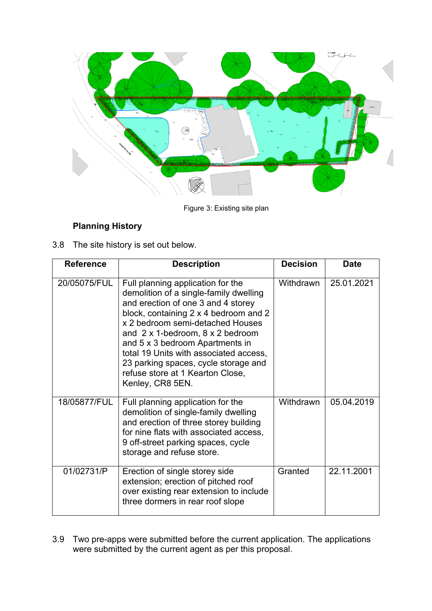

Figure 3: Existing site plan

# **Planning History**

3.8 The site history is set out below.

| <b>Reference</b> | <b>Description</b>                                                                                                                                                                                                                                                                                                                                                                                                             | <b>Decision</b> | <b>Date</b> |
|------------------|--------------------------------------------------------------------------------------------------------------------------------------------------------------------------------------------------------------------------------------------------------------------------------------------------------------------------------------------------------------------------------------------------------------------------------|-----------------|-------------|
| 20/05075/FUL     | Full planning application for the<br>demolition of a single-family dwelling<br>and erection of one 3 and 4 storey<br>block, containing 2 x 4 bedroom and 2<br>x 2 bedroom semi-detached Houses<br>and $2 \times 1$ -bedroom, $8 \times 2$ bedroom<br>and 5 x 3 bedroom Apartments in<br>total 19 Units with associated access,<br>23 parking spaces, cycle storage and<br>refuse store at 1 Kearton Close,<br>Kenley, CR8 5EN. | Withdrawn       | 25.01.2021  |
| 18/05877/FUL     | Full planning application for the<br>demolition of single-family dwelling<br>and erection of three storey building<br>for nine flats with associated access,<br>9 off-street parking spaces, cycle<br>storage and refuse store.                                                                                                                                                                                                | Withdrawn       | 05.04.2019  |
| 01/02731/P       | Erection of single storey side<br>extension; erection of pitched roof<br>over existing rear extension to include<br>three dormers in rear roof slope                                                                                                                                                                                                                                                                           | Granted         | 22.11.2001  |

3.9 Two pre-apps were submitted before the current application. The applications were submitted by the current agent as per this proposal.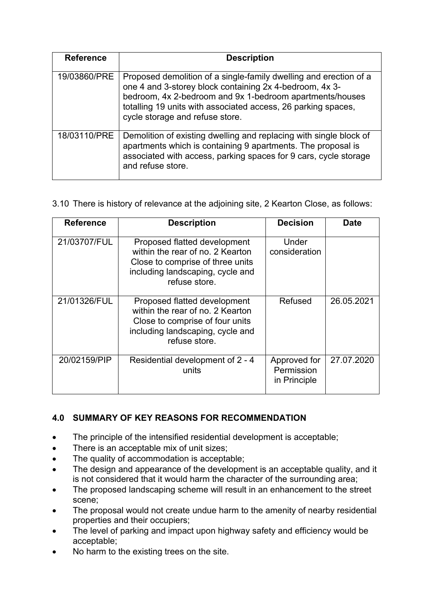| <b>Reference</b> | <b>Description</b>                                                                                                                                                                                                                                                                           |  |  |  |  |
|------------------|----------------------------------------------------------------------------------------------------------------------------------------------------------------------------------------------------------------------------------------------------------------------------------------------|--|--|--|--|
| 19/03860/PRE     | Proposed demolition of a single-family dwelling and erection of a<br>one 4 and 3-storey block containing 2x 4-bedroom, 4x 3-<br>bedroom, 4x 2-bedroom and 9x 1-bedroom apartments/houses<br>totalling 19 units with associated access, 26 parking spaces,<br>cycle storage and refuse store. |  |  |  |  |
| 18/03110/PRE     | Demolition of existing dwelling and replacing with single block of<br>apartments which is containing 9 apartments. The proposal is<br>associated with access, parking spaces for 9 cars, cycle storage<br>and refuse store.                                                                  |  |  |  |  |

# 3.10 There is history of relevance at the adjoining site, 2 Kearton Close, as follows:

| <b>Reference</b> | <b>Decision</b><br><b>Description</b>                                                                                                                     |                                            | Date       |  |
|------------------|-----------------------------------------------------------------------------------------------------------------------------------------------------------|--------------------------------------------|------------|--|
| 21/03707/FUL     | Proposed flatted development<br>within the rear of no. 2 Kearton<br>Close to comprise of three units<br>including landscaping, cycle and<br>refuse store. | Under<br>consideration                     |            |  |
| 21/01326/FUL     | Proposed flatted development<br>within the rear of no. 2 Kearton<br>Close to comprise of four units<br>including landscaping, cycle and<br>refuse store.  | Refused                                    | 26.05.2021 |  |
| 20/02159/PIP     | Residential development of 2 - 4<br>units                                                                                                                 | Approved for<br>Permission<br>in Principle | 27.07.2020 |  |

# **4.0 SUMMARY OF KEY REASONS FOR RECOMMENDATION**

- The principle of the intensified residential development is acceptable;
- There is an acceptable mix of unit sizes;
- The quality of accommodation is acceptable;
- The design and appearance of the development is an acceptable quality, and it is not considered that it would harm the character of the surrounding area;
- The proposed landscaping scheme will result in an enhancement to the street scene;
- The proposal would not create undue harm to the amenity of nearby residential properties and their occupiers;
- The level of parking and impact upon highway safety and efficiency would be acceptable;
- No harm to the existing trees on the site.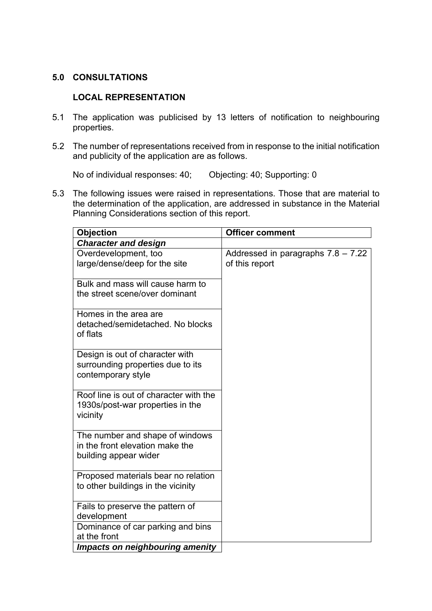# **5.0 CONSULTATIONS**

# **LOCAL REPRESENTATION**

- 5.1 The application was publicised by 13 letters of notification to neighbouring properties.
- 5.2 The number of representations received from in response to the initial notification and publicity of the application are as follows.

No of individual responses: 40; Objecting: 40; Supporting: 0

5.3 The following issues were raised in representations. Those that are material to the determination of the application, are addressed in substance in the Material Planning Considerations section of this report.

| <b>Objection</b>                             | <b>Officer comment</b>               |  |
|----------------------------------------------|--------------------------------------|--|
| <b>Character and design</b>                  |                                      |  |
| Overdevelopment, too                         | Addressed in paragraphs $7.8 - 7.22$ |  |
| large/dense/deep for the site                | of this report                       |  |
|                                              |                                      |  |
| Bulk and mass will cause harm to             |                                      |  |
| the street scene/over dominant               |                                      |  |
| Homes in the area are                        |                                      |  |
| detached/semidetached. No blocks             |                                      |  |
| of flats                                     |                                      |  |
|                                              |                                      |  |
| Design is out of character with              |                                      |  |
| surrounding properties due to its            |                                      |  |
| contemporary style                           |                                      |  |
|                                              |                                      |  |
| Roof line is out of character with the       |                                      |  |
| 1930s/post-war properties in the<br>vicinity |                                      |  |
|                                              |                                      |  |
| The number and shape of windows              |                                      |  |
| in the front elevation make the              |                                      |  |
| building appear wider                        |                                      |  |
|                                              |                                      |  |
| Proposed materials bear no relation          |                                      |  |
| to other buildings in the vicinity           |                                      |  |
| Fails to preserve the pattern of             |                                      |  |
| development                                  |                                      |  |
| Dominance of car parking and bins            |                                      |  |
| at the front                                 |                                      |  |
| <b>Impacts on neighbouring amenity</b>       |                                      |  |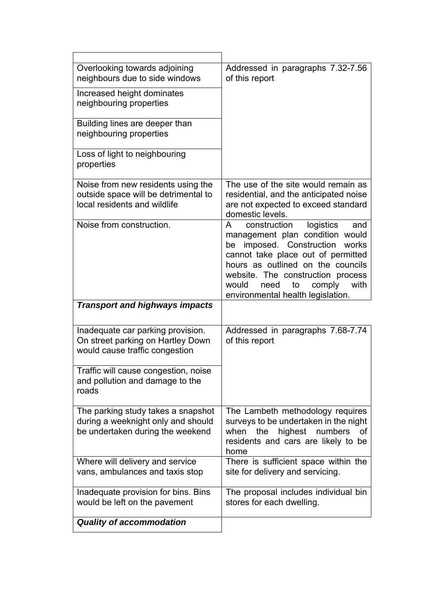| Overlooking towards adjoining<br>neighbours due to side windows<br>Increased height dominates<br>neighbouring properties<br>Building lines are deeper than<br>neighbouring properties<br>Loss of light to neighbouring<br>properties | Addressed in paragraphs 7.32-7.56<br>of this report                                                                                                                                                                                                                                                                    |
|--------------------------------------------------------------------------------------------------------------------------------------------------------------------------------------------------------------------------------------|------------------------------------------------------------------------------------------------------------------------------------------------------------------------------------------------------------------------------------------------------------------------------------------------------------------------|
| Noise from new residents using the<br>outside space will be detrimental to<br>local residents and wildlife                                                                                                                           | The use of the site would remain as<br>residential, and the anticipated noise<br>are not expected to exceed standard<br>domestic levels.                                                                                                                                                                               |
| Noise from construction.                                                                                                                                                                                                             | $\mathsf{A}$<br>logistics<br>construction<br>and<br>management plan condition would<br>imposed. Construction works<br>be<br>cannot take place out of permitted<br>hours as outlined on the councils<br>website. The construction process<br>to<br>comply<br>with<br>would<br>need<br>environmental health legislation. |
| <b>Transport and highways impacts</b>                                                                                                                                                                                                |                                                                                                                                                                                                                                                                                                                        |
| Inadequate car parking provision.<br>On street parking on Hartley Down<br>would cause traffic congestion                                                                                                                             | Addressed in paragraphs 7.68-7.74<br>of this report                                                                                                                                                                                                                                                                    |
| Traffic will cause congestion, noise<br>and pollution and damage to the<br>roads                                                                                                                                                     |                                                                                                                                                                                                                                                                                                                        |
| The parking study takes a snapshot<br>during a weeknight only and should<br>be undertaken during the weekend                                                                                                                         | The Lambeth methodology requires<br>surveys to be undertaken in the night<br>highest<br>when<br>the<br>numbers<br>οf<br>residents and cars are likely to be<br>home                                                                                                                                                    |
| Where will delivery and service<br>vans, ambulances and taxis stop                                                                                                                                                                   | There is sufficient space within the<br>site for delivery and servicing.                                                                                                                                                                                                                                               |
| Inadequate provision for bins. Bins<br>would be left on the pavement                                                                                                                                                                 | The proposal includes individual bin<br>stores for each dwelling.                                                                                                                                                                                                                                                      |
| <b>Quality of accommodation</b>                                                                                                                                                                                                      |                                                                                                                                                                                                                                                                                                                        |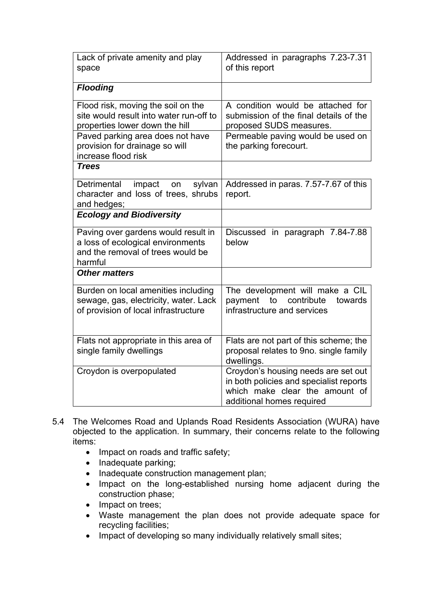| Lack of private amenity and play<br>space                                                                                                                                                                    | Addressed in paragraphs 7.23-7.31<br>of this report                                                                                                                   |  |  |
|--------------------------------------------------------------------------------------------------------------------------------------------------------------------------------------------------------------|-----------------------------------------------------------------------------------------------------------------------------------------------------------------------|--|--|
| <b>Flooding</b>                                                                                                                                                                                              |                                                                                                                                                                       |  |  |
| Flood risk, moving the soil on the<br>site would result into water run-off to<br>properties lower down the hill<br>Paved parking area does not have<br>provision for drainage so will<br>increase flood risk | A condition would be attached for<br>submission of the final details of the<br>proposed SUDS measures.<br>Permeable paving would be used on<br>the parking forecourt. |  |  |
| <b>Trees</b>                                                                                                                                                                                                 |                                                                                                                                                                       |  |  |
| impact<br>Detrimental<br>sylvan<br>on<br>character and loss of trees, shrubs<br>and hedges;                                                                                                                  | Addressed in paras. 7.57-7.67 of this<br>report.                                                                                                                      |  |  |
| <b>Ecology and Biodiversity</b>                                                                                                                                                                              |                                                                                                                                                                       |  |  |
| Paving over gardens would result in<br>a loss of ecological environments<br>and the removal of trees would be<br>harmful                                                                                     | Discussed in paragraph 7.84-7.88<br>below                                                                                                                             |  |  |
| <b>Other matters</b>                                                                                                                                                                                         |                                                                                                                                                                       |  |  |
| Burden on local amenities including<br>sewage, gas, electricity, water. Lack<br>of provision of local infrastructure                                                                                         | The development will make a CIL<br>contribute<br>payment<br>to<br>towards<br>infrastructure and services                                                              |  |  |
| Flats not appropriate in this area of<br>single family dwellings                                                                                                                                             | Flats are not part of this scheme; the<br>proposal relates to 9no. single family<br>dwellings.                                                                        |  |  |
| Croydon is overpopulated                                                                                                                                                                                     | Croydon's housing needs are set out<br>in both policies and specialist reports<br>which make clear the amount of<br>additional homes required                         |  |  |

- 5.4 The Welcomes Road and Uplands Road Residents Association (WURA) have objected to the application. In summary, their concerns relate to the following items:
	- Impact on roads and traffic safety;
	- Inadequate parking;
	- Inadequate construction management plan;
	- Impact on the long-established nursing home adjacent during the construction phase;
	- Impact on trees;
	- Waste management the plan does not provide adequate space for recycling facilities;
	- Impact of developing so many individually relatively small sites;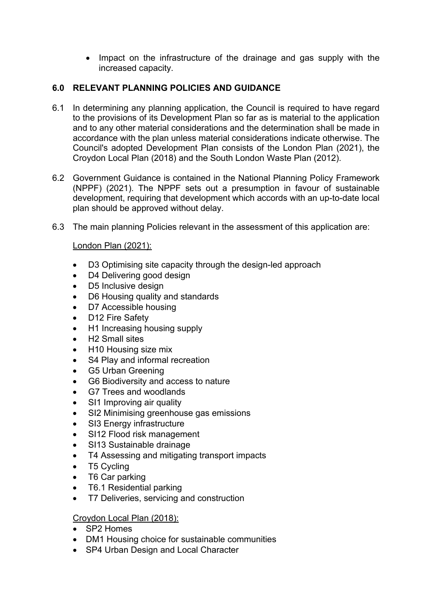• Impact on the infrastructure of the drainage and gas supply with the increased capacity.

# **6.0 RELEVANT PLANNING POLICIES AND GUIDANCE**

- 6.1 In determining any planning application, the Council is required to have regard to the provisions of its Development Plan so far as is material to the application and to any other material considerations and the determination shall be made in accordance with the plan unless material considerations indicate otherwise. The Council's adopted Development Plan consists of the London Plan (2021), the Croydon Local Plan (2018) and the South London Waste Plan (2012).
- 6.2 Government Guidance is contained in the National Planning Policy Framework (NPPF) (2021). The NPPF sets out a presumption in favour of sustainable development, requiring that development which accords with an up-to-date local plan should be approved without delay.
- 6.3 The main planning Policies relevant in the assessment of this application are:

# London Plan (2021):

- D3 Optimising site capacity through the design-led approach
- D4 Delivering good design
- D5 Inclusive design
- D6 Housing quality and standards
- D7 Accessible housing
- D12 Fire Safety
- H1 Increasing housing supply
- H2 Small sites
- H10 Housing size mix
- S4 Play and informal recreation
- G5 Urban Greening
- G6 Biodiversity and access to nature
- G7 Trees and woodlands
- SI1 Improving air quality
- SI2 Minimising greenhouse gas emissions
- SI3 Energy infrastructure
- SI12 Flood risk management
- SI13 Sustainable drainage
- T4 Assessing and mitigating transport impacts
- T5 Cycling
- T6 Car parking
- T6.1 Residential parking
- T7 Deliveries, servicing and construction

# Croydon Local Plan (2018):

- SP2 Homes
- DM1 Housing choice for sustainable communities
- SP4 Urban Design and Local Character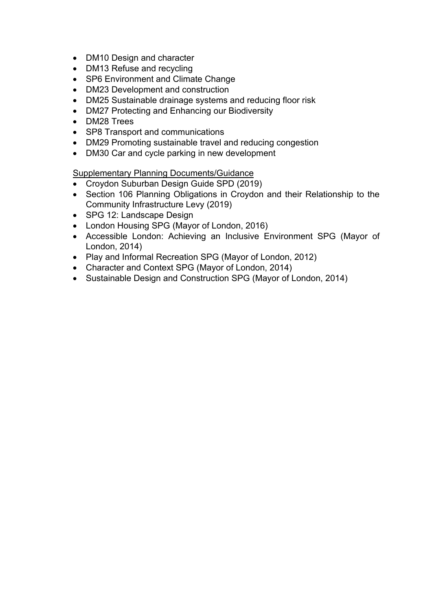- DM10 Design and character
- DM13 Refuse and recycling
- SP6 Environment and Climate Change
- DM23 Development and construction
- DM25 Sustainable drainage systems and reducing floor risk
- DM27 Protecting and Enhancing our Biodiversity
- DM28 Trees
- SP8 Transport and communications
- DM29 Promoting sustainable travel and reducing congestion
- DM30 Car and cycle parking in new development

Supplementary Planning Documents/Guidance

- Croydon Suburban Design Guide SPD (2019)
- Section 106 Planning Obligations in Croydon and their Relationship to the Community Infrastructure Levy (2019)
- SPG 12: Landscape Design
- London Housing SPG (Mayor of London, 2016)
- Accessible London: Achieving an Inclusive Environment SPG (Mayor of London, 2014)
- Play and Informal Recreation SPG (Mayor of London, 2012)
- Character and Context SPG (Mayor of London, 2014)
- Sustainable Design and Construction SPG (Mayor of London, 2014)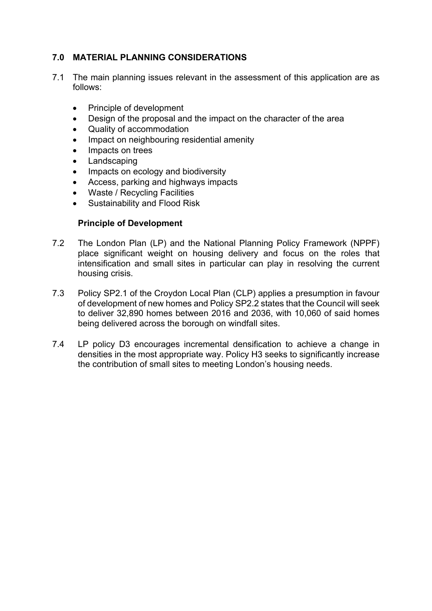# **7.0 MATERIAL PLANNING CONSIDERATIONS**

- 7.1 The main planning issues relevant in the assessment of this application are as follows:
	- Principle of development
	- Design of the proposal and the impact on the character of the area
	- Quality of accommodation
	- Impact on neighbouring residential amenity
	- Impacts on trees
	- Landscaping
	- Impacts on ecology and biodiversity
	- Access, parking and highways impacts
	- Waste / Recycling Facilities
	- Sustainability and Flood Risk

#### **Principle of Development**

- 7.2 The London Plan (LP) and the National Planning Policy Framework (NPPF) place significant weight on housing delivery and focus on the roles that intensification and small sites in particular can play in resolving the current housing crisis.
- 7.3 Policy SP2.1 of the Croydon Local Plan (CLP) applies a presumption in favour of development of new homes and Policy SP2.2 states that the Council will seek to deliver 32,890 homes between 2016 and 2036, with 10,060 of said homes being delivered across the borough on windfall sites.
- 7.4 LP policy D3 encourages incremental densification to achieve a change in densities in the most appropriate way. Policy H3 seeks to significantly increase the contribution of small sites to meeting London's housing needs.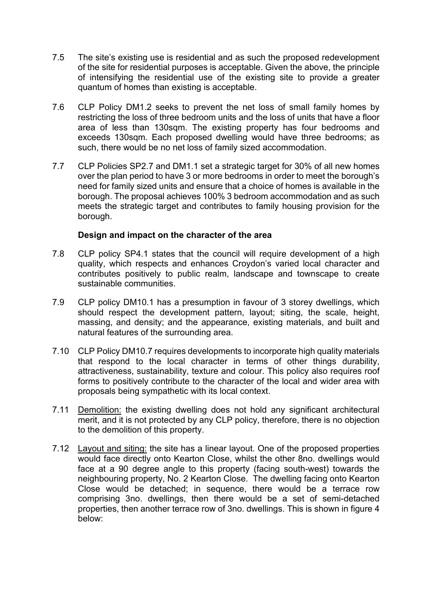- 7.5 The site's existing use is residential and as such the proposed redevelopment of the site for residential purposes is acceptable. Given the above, the principle of intensifying the residential use of the existing site to provide a greater quantum of homes than existing is acceptable.
- 7.6 CLP Policy DM1.2 seeks to prevent the net loss of small family homes by restricting the loss of three bedroom units and the loss of units that have a floor area of less than 130sqm. The existing property has four bedrooms and exceeds 130sqm. Each proposed dwelling would have three bedrooms; as such, there would be no net loss of family sized accommodation.
- 7.7 CLP Policies SP2.7 and DM1.1 set a strategic target for 30% of all new homes over the plan period to have 3 or more bedrooms in order to meet the borough's need for family sized units and ensure that a choice of homes is available in the borough. The proposal achieves 100% 3 bedroom accommodation and as such meets the strategic target and contributes to family housing provision for the borough.

#### **Design and impact on the character of the area**

- 7.8 CLP policy SP4.1 states that the council will require development of a high quality, which respects and enhances Croydon's varied local character and contributes positively to public realm, landscape and townscape to create sustainable communities.
- 7.9 CLP policy DM10.1 has a presumption in favour of 3 storey dwellings, which should respect the development pattern, layout; siting, the scale, height, massing, and density; and the appearance, existing materials, and built and natural features of the surrounding area.
- 7.10 CLP Policy DM10.7 requires developments to incorporate high quality materials that respond to the local character in terms of other things durability, attractiveness, sustainability, texture and colour. This policy also requires roof forms to positively contribute to the character of the local and wider area with proposals being sympathetic with its local context.
- 7.11 Demolition: the existing dwelling does not hold any significant architectural merit, and it is not protected by any CLP policy, therefore, there is no objection to the demolition of this property.
- 7.12 Layout and siting: the site has a linear layout. One of the proposed properties would face directly onto Kearton Close, whilst the other 8no. dwellings would face at a 90 degree angle to this property (facing south-west) towards the neighbouring property, No. 2 Kearton Close. The dwelling facing onto Kearton Close would be detached; in sequence, there would be a terrace row comprising 3no. dwellings, then there would be a set of semi-detached properties, then another terrace row of 3no. dwellings. This is shown in figure 4 below: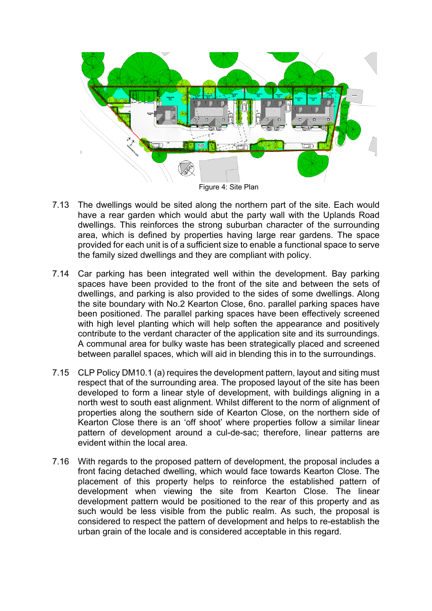

- 7.13 The dwellings would be sited along the northern part of the site. Each would have a rear garden which would abut the party wall with the Uplands Road dwellings. This reinforces the strong suburban character of the surrounding area, which is defined by properties having large rear gardens. The space provided for each unit is of a sufficient size to enable a functional space to serve the family sized dwellings and they are compliant with policy.
- 7.14 Car parking has been integrated well within the development. Bay parking spaces have been provided to the front of the site and between the sets of dwellings, and parking is also provided to the sides of some dwellings. Along the site boundary with No.2 Kearton Close, 6no. parallel parking spaces have been positioned. The parallel parking spaces have been effectively screened with high level planting which will help soften the appearance and positively contribute to the verdant character of the application site and its surroundings. A communal area for bulky waste has been strategically placed and screened between parallel spaces, which will aid in blending this in to the surroundings.
- 7.15 CLP Policy DM10.1 (a) requires the development pattern, layout and siting must respect that of the surrounding area. The proposed layout of the site has been developed to form a linear style of development, with buildings aligning in a north west to south east alignment. Whilst different to the norm of alignment of properties along the southern side of Kearton Close, on the northern side of Kearton Close there is an 'off shoot' where properties follow a similar linear pattern of development around a cul-de-sac; therefore, linear patterns are evident within the local area.
- 7.16 With regards to the proposed pattern of development, the proposal includes a front facing detached dwelling, which would face towards Kearton Close. The placement of this property helps to reinforce the established pattern of development when viewing the site from Kearton Close. The linear development pattern would be positioned to the rear of this property and as such would be less visible from the public realm. As such, the proposal is considered to respect the pattern of development and helps to re-establish the urban grain of the locale and is considered acceptable in this regard.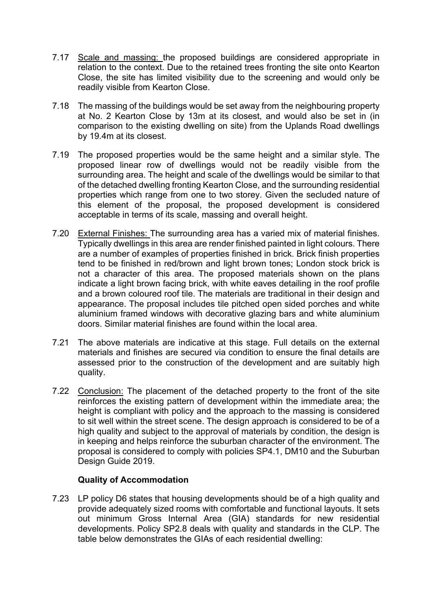- 7.17 Scale and massing: the proposed buildings are considered appropriate in relation to the context. Due to the retained trees fronting the site onto Kearton Close, the site has limited visibility due to the screening and would only be readily visible from Kearton Close.
- 7.18 The massing of the buildings would be set away from the neighbouring property at No. 2 Kearton Close by 13m at its closest, and would also be set in (in comparison to the existing dwelling on site) from the Uplands Road dwellings by 19.4m at its closest.
- 7.19 The proposed properties would be the same height and a similar style. The proposed linear row of dwellings would not be readily visible from the surrounding area. The height and scale of the dwellings would be similar to that of the detached dwelling fronting Kearton Close, and the surrounding residential properties which range from one to two storey. Given the secluded nature of this element of the proposal, the proposed development is considered acceptable in terms of its scale, massing and overall height.
- 7.20 External Finishes: The surrounding area has a varied mix of material finishes. Typically dwellings in this area are render finished painted in light colours. There are a number of examples of properties finished in brick. Brick finish properties tend to be finished in red/brown and light brown tones; London stock brick is not a character of this area. The proposed materials shown on the plans indicate a light brown facing brick, with white eaves detailing in the roof profile and a brown coloured roof tile. The materials are traditional in their design and appearance. The proposal includes tile pitched open sided porches and white aluminium framed windows with decorative glazing bars and white aluminium doors. Similar material finishes are found within the local area.
- 7.21 The above materials are indicative at this stage. Full details on the external materials and finishes are secured via condition to ensure the final details are assessed prior to the construction of the development and are suitably high quality.
- 7.22 Conclusion: The placement of the detached property to the front of the site reinforces the existing pattern of development within the immediate area; the height is compliant with policy and the approach to the massing is considered to sit well within the street scene. The design approach is considered to be of a high quality and subject to the approval of materials by condition, the design is in keeping and helps reinforce the suburban character of the environment. The proposal is considered to comply with policies SP4.1, DM10 and the Suburban Design Guide 2019.

# **Quality of Accommodation**

7.23 LP policy D6 states that housing developments should be of a high quality and provide adequately sized rooms with comfortable and functional layouts. It sets out minimum Gross Internal Area (GIA) standards for new residential developments. Policy SP2.8 deals with quality and standards in the CLP. The table below demonstrates the GIAs of each residential dwelling: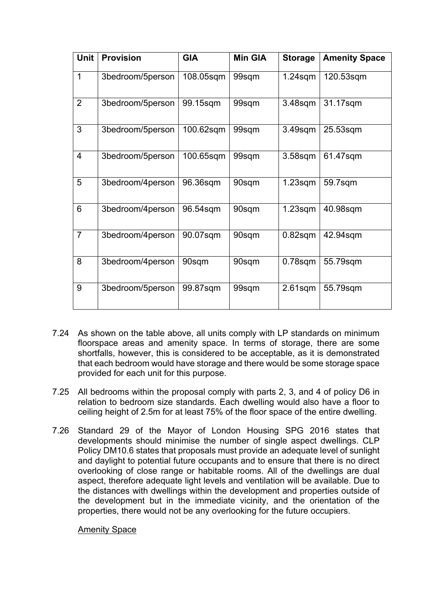| <b>Unit</b>    | <b>Provision</b> | <b>GIA</b> | <b>Min GIA</b> | <b>Storage</b> | <b>Amenity Space</b> |
|----------------|------------------|------------|----------------|----------------|----------------------|
| $\mathbf 1$    | 3bedroom/5person | 108.05sqm  | 99sqm          | $1.24$ sqm     | 120.53sqm            |
| $\overline{2}$ | 3bedroom/5person | 99.15sqm   | 99sqm          | $3.48$ sqm     | 31.17sqm             |
| 3              | 3bedroom/5person | 100.62sqm  | 99sqm          | 3.49sqm        | 25.53sqm             |
| $\overline{4}$ | 3bedroom/5person | 100.65sqm  | 99sqm          | $3.58$ sqm     | 61.47sqm             |
| 5              | 3bedroom/4person | 96.36sqm   | 90sqm          | $1.23$ sqm     | 59.7sqm              |
| 6              | 3bedroom/4person | 96.54sqm   | 90sqm          | $1.23$ sqm     | 40.98sqm             |
| $\overline{7}$ | 3bedroom/4person | 90.07sqm   | 90sqm          | $0.82$ sqm     | 42.94sqm             |
| 8              | 3bedroom/4person | 90sqm      | 90sqm          | $0.78$ sqm     | 55.79sqm             |
| 9              | 3bedroom/5person | 99.87sqm   | 99sqm          | $2.61$ sqm     | 55.79sqm             |

- 7.24 As shown on the table above, all units comply with LP standards on minimum floorspace areas and amenity space. In terms of storage, there are some shortfalls, however, this is considered to be acceptable, as it is demonstrated that each bedroom would have storage and there would be some storage space provided for each unit for this purpose.
- 7.25 All bedrooms within the proposal comply with parts 2, 3, and 4 of policy D6 in relation to bedroom size standards. Each dwelling would also have a floor to ceiling height of 2.5m for at least 75% of the floor space of the entire dwelling.
- 7.26 Standard 29 of the Mayor of London Housing SPG 2016 states that developments should minimise the number of single aspect dwellings. CLP Policy DM10.6 states that proposals must provide an adequate level of sunlight and daylight to potential future occupants and to ensure that there is no direct overlooking of close range or habitable rooms. All of the dwellings are dual aspect, therefore adequate light levels and ventilation will be available. Due to the distances with dwellings within the development and properties outside of the development but in the immediate vicinity, and the orientation of the properties, there would not be any overlooking for the future occupiers.

Amenity Space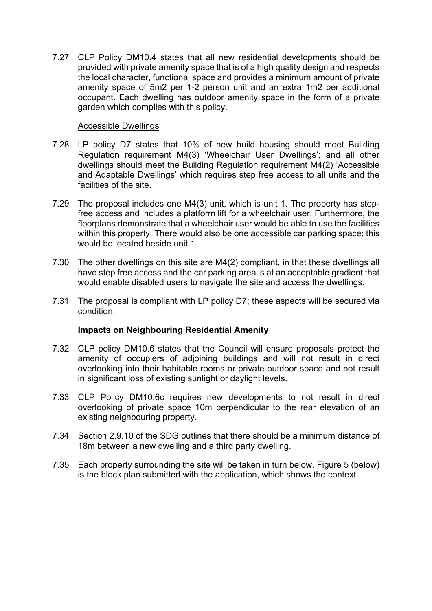7.27 CLP Policy DM10.4 states that all new residential developments should be provided with private amenity space that is of a high quality design and respects the local character, functional space and provides a minimum amount of private amenity space of 5m2 per 1-2 person unit and an extra 1m2 per additional occupant. Each dwelling has outdoor amenity space in the form of a private garden which complies with this policy.

#### Accessible Dwellings

- 7.28 LP policy D7 states that 10% of new build housing should meet Building Regulation requirement M4(3) 'Wheelchair User Dwellings'; and all other dwellings should meet the Building Regulation requirement M4(2) 'Accessible and Adaptable Dwellings' which requires step free access to all units and the facilities of the site.
- 7.29 The proposal includes one M4(3) unit, which is unit 1. The property has stepfree access and includes a platform lift for a wheelchair user. Furthermore, the floorplans demonstrate that a wheelchair user would be able to use the facilities within this property. There would also be one accessible car parking space; this would be located beside unit 1.
- 7.30 The other dwellings on this site are M4(2) compliant, in that these dwellings all have step free access and the car parking area is at an acceptable gradient that would enable disabled users to navigate the site and access the dwellings.
- 7.31 The proposal is compliant with LP policy D7; these aspects will be secured via condition.

#### **Impacts on Neighbouring Residential Amenity**

- 7.32 CLP policy DM10.6 states that the Council will ensure proposals protect the amenity of occupiers of adjoining buildings and will not result in direct overlooking into their habitable rooms or private outdoor space and not result in significant loss of existing sunlight or daylight levels.
- 7.33 CLP Policy DM10.6c requires new developments to not result in direct overlooking of private space 10m perpendicular to the rear elevation of an existing neighbouring property.
- 7.34 Section 2.9.10 of the SDG outlines that there should be a minimum distance of 18m between a new dwelling and a third party dwelling.
- 7.35 Each property surrounding the site will be taken in turn below. Figure 5 (below) is the block plan submitted with the application, which shows the context.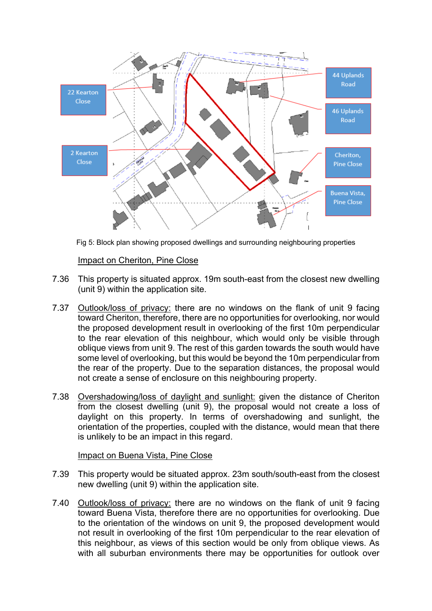

Fig 5: Block plan showing proposed dwellings and surrounding neighbouring properties

# Impact on Cheriton, Pine Close

- 7.36 This property is situated approx. 19m south-east from the closest new dwelling (unit 9) within the application site.
- 7.37 Outlook/loss of privacy: there are no windows on the flank of unit 9 facing toward Cheriton, therefore, there are no opportunities for overlooking, nor would the proposed development result in overlooking of the first 10m perpendicular to the rear elevation of this neighbour, which would only be visible through oblique views from unit 9. The rest of this garden towards the south would have some level of overlooking, but this would be beyond the 10m perpendicular from the rear of the property. Due to the separation distances, the proposal would not create a sense of enclosure on this neighbouring property.
- 7.38 Overshadowing/loss of daylight and sunlight: given the distance of Cheriton from the closest dwelling (unit 9), the proposal would not create a loss of daylight on this property. In terms of overshadowing and sunlight, the orientation of the properties, coupled with the distance, would mean that there is unlikely to be an impact in this regard.

#### Impact on Buena Vista, Pine Close

- 7.39 This property would be situated approx. 23m south/south-east from the closest new dwelling (unit 9) within the application site.
- 7.40 Outlook/loss of privacy: there are no windows on the flank of unit 9 facing toward Buena Vista, therefore there are no opportunities for overlooking. Due to the orientation of the windows on unit 9, the proposed development would not result in overlooking of the first 10m perpendicular to the rear elevation of this neighbour, as views of this section would be only from oblique views. As with all suburban environments there may be opportunities for outlook over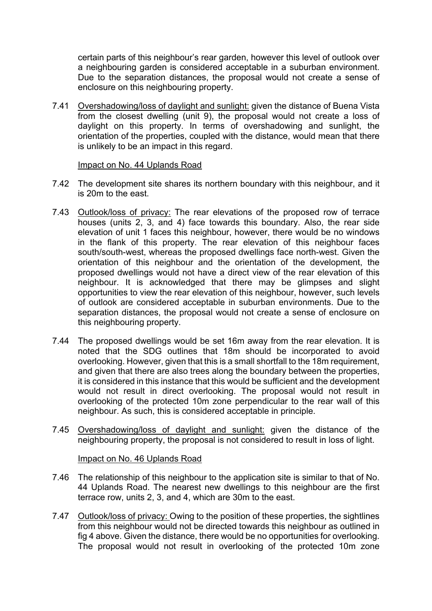certain parts of this neighbour's rear garden, however this level of outlook over a neighbouring garden is considered acceptable in a suburban environment. Due to the separation distances, the proposal would not create a sense of enclosure on this neighbouring property.

7.41 Overshadowing/loss of daylight and sunlight: given the distance of Buena Vista from the closest dwelling (unit 9), the proposal would not create a loss of daylight on this property. In terms of overshadowing and sunlight, the orientation of the properties, coupled with the distance, would mean that there is unlikely to be an impact in this regard.

#### Impact on No. 44 Uplands Road

- 7.42 The development site shares its northern boundary with this neighbour, and it is 20m to the east.
- 7.43 Outlook/loss of privacy: The rear elevations of the proposed row of terrace houses (units 2, 3, and 4) face towards this boundary. Also, the rear side elevation of unit 1 faces this neighbour, however, there would be no windows in the flank of this property. The rear elevation of this neighbour faces south/south-west, whereas the proposed dwellings face north-west. Given the orientation of this neighbour and the orientation of the development, the proposed dwellings would not have a direct view of the rear elevation of this neighbour. It is acknowledged that there may be glimpses and slight opportunities to view the rear elevation of this neighbour, however, such levels of outlook are considered acceptable in suburban environments. Due to the separation distances, the proposal would not create a sense of enclosure on this neighbouring property.
- 7.44 The proposed dwellings would be set 16m away from the rear elevation. It is noted that the SDG outlines that 18m should be incorporated to avoid overlooking. However, given that this is a small shortfall to the 18m requirement, and given that there are also trees along the boundary between the properties, it is considered in this instance that this would be sufficient and the development would not result in direct overlooking. The proposal would not result in overlooking of the protected 10m zone perpendicular to the rear wall of this neighbour. As such, this is considered acceptable in principle.
- 7.45 Overshadowing/loss of daylight and sunlight: given the distance of the neighbouring property, the proposal is not considered to result in loss of light.

#### Impact on No. 46 Uplands Road

- 7.46 The relationship of this neighbour to the application site is similar to that of No. 44 Uplands Road. The nearest new dwellings to this neighbour are the first terrace row, units 2, 3, and 4, which are 30m to the east.
- 7.47 Outlook/loss of privacy: Owing to the position of these properties, the sightlines from this neighbour would not be directed towards this neighbour as outlined in fig 4 above. Given the distance, there would be no opportunities for overlooking. The proposal would not result in overlooking of the protected 10m zone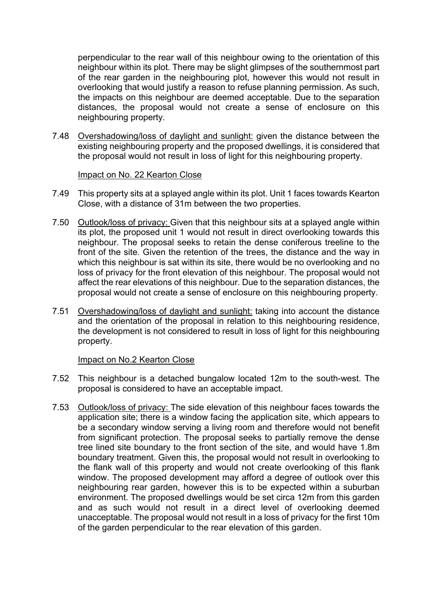perpendicular to the rear wall of this neighbour owing to the orientation of this neighbour within its plot. There may be slight glimpses of the southernmost part of the rear garden in the neighbouring plot, however this would not result in overlooking that would justify a reason to refuse planning permission. As such, the impacts on this neighbour are deemed acceptable. Due to the separation distances, the proposal would not create a sense of enclosure on this neighbouring property.

7.48 Overshadowing/loss of daylight and sunlight: given the distance between the existing neighbouring property and the proposed dwellings, it is considered that the proposal would not result in loss of light for this neighbouring property.

Impact on No. 22 Kearton Close

- 7.49 This property sits at a splayed angle within its plot. Unit 1 faces towards Kearton Close, with a distance of 31m between the two properties.
- 7.50 Outlook/loss of privacy: Given that this neighbour sits at a splayed angle within its plot, the proposed unit 1 would not result in direct overlooking towards this neighbour. The proposal seeks to retain the dense coniferous treeline to the front of the site. Given the retention of the trees, the distance and the way in which this neighbour is sat within its site, there would be no overlooking and no loss of privacy for the front elevation of this neighbour. The proposal would not affect the rear elevations of this neighbour. Due to the separation distances, the proposal would not create a sense of enclosure on this neighbouring property.
- 7.51 Overshadowing/loss of daylight and sunlight: taking into account the distance and the orientation of the proposal in relation to this neighbouring residence, the development is not considered to result in loss of light for this neighbouring property.

#### Impact on No.2 Kearton Close

- 7.52 This neighbour is a detached bungalow located 12m to the south-west. The proposal is considered to have an acceptable impact.
- 7.53 Outlook/loss of privacy: The side elevation of this neighbour faces towards the application site; there is a window facing the application site, which appears to be a secondary window serving a living room and therefore would not benefit from significant protection. The proposal seeks to partially remove the dense tree lined site boundary to the front section of the site, and would have 1.8m boundary treatment. Given this, the proposal would not result in overlooking to the flank wall of this property and would not create overlooking of this flank window. The proposed development may afford a degree of outlook over this neighbouring rear garden, however this is to be expected within a suburban environment. The proposed dwellings would be set circa 12m from this garden and as such would not result in a direct level of overlooking deemed unacceptable. The proposal would not result in a loss of privacy for the first 10m of the garden perpendicular to the rear elevation of this garden.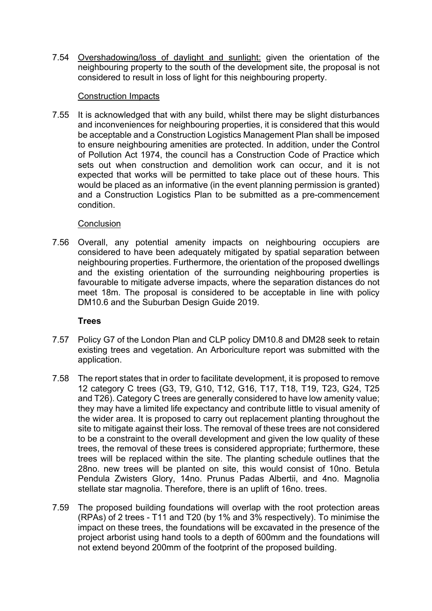7.54 Overshadowing/loss of daylight and sunlight: given the orientation of the neighbouring property to the south of the development site, the proposal is not considered to result in loss of light for this neighbouring property.

### Construction Impacts

7.55 It is acknowledged that with any build, whilst there may be slight disturbances and inconveniences for neighbouring properties, it is considered that this would be acceptable and a Construction Logistics Management Plan shall be imposed to ensure neighbouring amenities are protected. In addition, under the Control of Pollution Act 1974, the council has a Construction Code of Practice which sets out when construction and demolition work can occur, and it is not expected that works will be permitted to take place out of these hours. This would be placed as an informative (in the event planning permission is granted) and a Construction Logistics Plan to be submitted as a pre-commencement condition.

# **Conclusion**

7.56 Overall, any potential amenity impacts on neighbouring occupiers are considered to have been adequately mitigated by spatial separation between neighbouring properties. Furthermore, the orientation of the proposed dwellings and the existing orientation of the surrounding neighbouring properties is favourable to mitigate adverse impacts, where the separation distances do not meet 18m. The proposal is considered to be acceptable in line with policy DM10.6 and the Suburban Design Guide 2019.

# **Trees**

- 7.57 Policy G7 of the London Plan and CLP policy DM10.8 and DM28 seek to retain existing trees and vegetation. An Arboriculture report was submitted with the application.
- 7.58 The report states that in order to facilitate development, it is proposed to remove 12 category C trees (G3, T9, G10, T12, G16, T17, T18, T19, T23, G24, T25 and T26). Category C trees are generally considered to have low amenity value; they may have a limited life expectancy and contribute little to visual amenity of the wider area. It is proposed to carry out replacement planting throughout the site to mitigate against their loss. The removal of these trees are not considered to be a constraint to the overall development and given the low quality of these trees, the removal of these trees is considered appropriate; furthermore, these trees will be replaced within the site. The planting schedule outlines that the 28no. new trees will be planted on site, this would consist of 10no. Betula Pendula Zwisters Glory, 14no. Prunus Padas Albertii, and 4no. Magnolia stellate star magnolia. Therefore, there is an uplift of 16no. trees.
- 7.59 The proposed building foundations will overlap with the root protection areas (RPAs) of 2 trees - T11 and T20 (by 1% and 3% respectively). To minimise the impact on these trees, the foundations will be excavated in the presence of the project arborist using hand tools to a depth of 600mm and the foundations will not extend beyond 200mm of the footprint of the proposed building.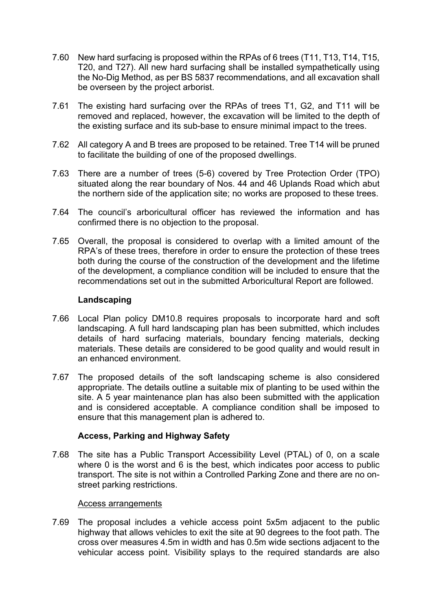- 7.60 New hard surfacing is proposed within the RPAs of 6 trees (T11, T13, T14, T15, T20, and T27). All new hard surfacing shall be installed sympathetically using the No-Dig Method, as per BS 5837 recommendations, and all excavation shall be overseen by the project arborist.
- 7.61 The existing hard surfacing over the RPAs of trees T1, G2, and T11 will be removed and replaced, however, the excavation will be limited to the depth of the existing surface and its sub-base to ensure minimal impact to the trees.
- 7.62 All category A and B trees are proposed to be retained. Tree T14 will be pruned to facilitate the building of one of the proposed dwellings.
- 7.63 There are a number of trees (5-6) covered by Tree Protection Order (TPO) situated along the rear boundary of Nos. 44 and 46 Uplands Road which abut the northern side of the application site; no works are proposed to these trees.
- 7.64 The council's arboricultural officer has reviewed the information and has confirmed there is no objection to the proposal.
- 7.65 Overall, the proposal is considered to overlap with a limited amount of the RPA's of these trees, therefore in order to ensure the protection of these trees both during the course of the construction of the development and the lifetime of the development, a compliance condition will be included to ensure that the recommendations set out in the submitted Arboricultural Report are followed.

#### **Landscaping**

- 7.66 Local Plan policy DM10.8 requires proposals to incorporate hard and soft landscaping. A full hard landscaping plan has been submitted, which includes details of hard surfacing materials, boundary fencing materials, decking materials. These details are considered to be good quality and would result in an enhanced environment.
- 7.67 The proposed details of the soft landscaping scheme is also considered appropriate. The details outline a suitable mix of planting to be used within the site. A 5 year maintenance plan has also been submitted with the application and is considered acceptable. A compliance condition shall be imposed to ensure that this management plan is adhered to.

#### **Access, Parking and Highway Safety**

7.68 The site has a Public Transport Accessibility Level (PTAL) of 0, on a scale where 0 is the worst and 6 is the best, which indicates poor access to public transport. The site is not within a Controlled Parking Zone and there are no onstreet parking restrictions.

#### Access arrangements

7.69 The proposal includes a vehicle access point 5x5m adjacent to the public highway that allows vehicles to exit the site at 90 degrees to the foot path. The cross over measures 4.5m in width and has 0.5m wide sections adjacent to the vehicular access point. Visibility splays to the required standards are also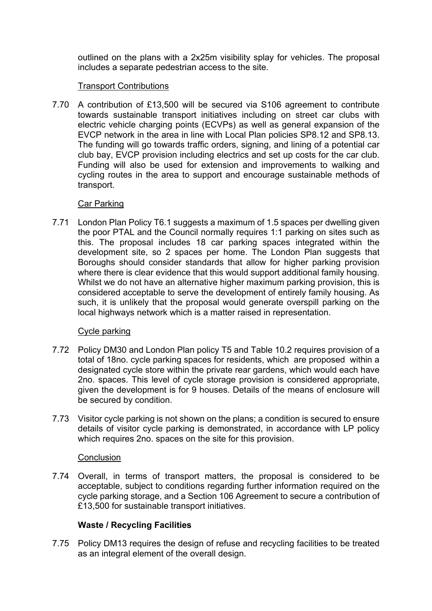outlined on the plans with a 2x25m visibility splay for vehicles. The proposal includes a separate pedestrian access to the site.

# Transport Contributions

7.70 A contribution of £13,500 will be secured via S106 agreement to contribute towards sustainable transport initiatives including on street car clubs with electric vehicle charging points (ECVPs) as well as general expansion of the EVCP network in the area in line with Local Plan policies SP8.12 and SP8.13. The funding will go towards traffic orders, signing, and lining of a potential car club bay, EVCP provision including electrics and set up costs for the car club. Funding will also be used for extension and improvements to walking and cycling routes in the area to support and encourage sustainable methods of transport.

#### Car Parking

7.71 London Plan Policy T6.1 suggests a maximum of 1.5 spaces per dwelling given the poor PTAL and the Council normally requires 1:1 parking on sites such as this. The proposal includes 18 car parking spaces integrated within the development site, so 2 spaces per home. The London Plan suggests that Boroughs should consider standards that allow for higher parking provision where there is clear evidence that this would support additional family housing. Whilst we do not have an alternative higher maximum parking provision, this is considered acceptable to serve the development of entirely family housing. As such, it is unlikely that the proposal would generate overspill parking on the local highways network which is a matter raised in representation.

# Cycle parking

- 7.72 Policy DM30 and London Plan policy T5 and Table 10.2 requires provision of a total of 18no. cycle parking spaces for residents, which are proposed within a designated cycle store within the private rear gardens, which would each have 2no. spaces. This level of cycle storage provision is considered appropriate, given the development is for 9 houses. Details of the means of enclosure will be secured by condition.
- 7.73 Visitor cycle parking is not shown on the plans; a condition is secured to ensure details of visitor cycle parking is demonstrated, in accordance with LP policy which requires 2no. spaces on the site for this provision.

#### **Conclusion**

7.74 Overall, in terms of transport matters, the proposal is considered to be acceptable, subject to conditions regarding further information required on the cycle parking storage, and a Section 106 Agreement to secure a contribution of £13,500 for sustainable transport initiatives.

# **Waste / Recycling Facilities**

7.75 Policy DM13 requires the design of refuse and recycling facilities to be treated as an integral element of the overall design.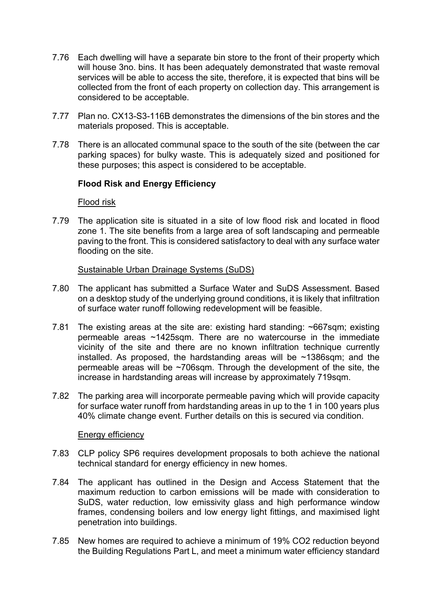- 7.76 Each dwelling will have a separate bin store to the front of their property which will house 3no. bins. It has been adequately demonstrated that waste removal services will be able to access the site, therefore, it is expected that bins will be collected from the front of each property on collection day. This arrangement is considered to be acceptable.
- 7.77 Plan no. CX13-S3-116B demonstrates the dimensions of the bin stores and the materials proposed. This is acceptable.
- 7.78 There is an allocated communal space to the south of the site (between the car parking spaces) for bulky waste. This is adequately sized and positioned for these purposes; this aspect is considered to be acceptable.

# **Flood Risk and Energy Efficiency**

Flood risk

7.79 The application site is situated in a site of low flood risk and located in flood zone 1. The site benefits from a large area of soft landscaping and permeable paving to the front. This is considered satisfactory to deal with any surface water flooding on the site.

#### Sustainable Urban Drainage Systems (SuDS)

- 7.80 The applicant has submitted a Surface Water and SuDS Assessment. Based on a desktop study of the underlying ground conditions, it is likely that infiltration of surface water runoff following redevelopment will be feasible.
- 7.81 The existing areas at the site are: existing hard standing: ~667sqm; existing permeable areas ~1425sqm. There are no watercourse in the immediate vicinity of the site and there are no known infiltration technique currently installed. As proposed, the hardstanding areas will be ~1386sqm; and the permeable areas will be ~706sqm. Through the development of the site, the increase in hardstanding areas will increase by approximately 719sqm.
- 7.82 The parking area will incorporate permeable paving which will provide capacity for surface water runoff from hardstanding areas in up to the 1 in 100 years plus 40% climate change event. Further details on this is secured via condition.

#### Energy efficiency

- 7.83 CLP policy SP6 requires development proposals to both achieve the national technical standard for energy efficiency in new homes.
- 7.84 The applicant has outlined in the Design and Access Statement that the maximum reduction to carbon emissions will be made with consideration to SuDS, water reduction, low emissivity glass and high performance window frames, condensing boilers and low energy light fittings, and maximised light penetration into buildings.
- 7.85 New homes are required to achieve a minimum of 19% CO2 reduction beyond the Building Regulations Part L, and meet a minimum water efficiency standard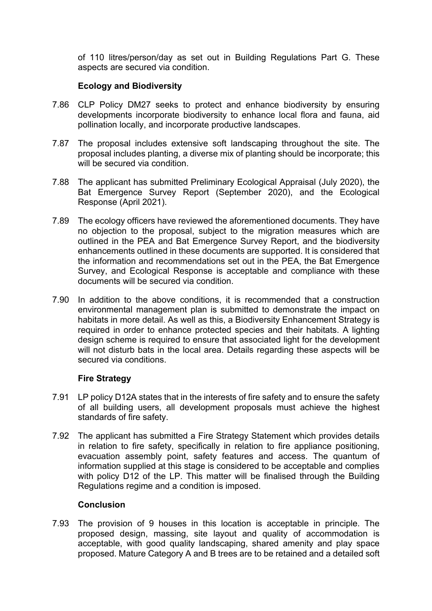of 110 litres/person/day as set out in Building Regulations Part G. These aspects are secured via condition.

# **Ecology and Biodiversity**

- 7.86 CLP Policy DM27 seeks to protect and enhance biodiversity by ensuring developments incorporate biodiversity to enhance local flora and fauna, aid pollination locally, and incorporate productive landscapes.
- 7.87 The proposal includes extensive soft landscaping throughout the site. The proposal includes planting, a diverse mix of planting should be incorporate; this will be secured via condition.
- 7.88 The applicant has submitted Preliminary Ecological Appraisal (July 2020), the Bat Emergence Survey Report (September 2020), and the Ecological Response (April 2021).
- 7.89 The ecology officers have reviewed the aforementioned documents. They have no objection to the proposal, subject to the migration measures which are outlined in the PEA and Bat Emergence Survey Report, and the biodiversity enhancements outlined in these documents are supported. It is considered that the information and recommendations set out in the PEA, the Bat Emergence Survey, and Ecological Response is acceptable and compliance with these documents will be secured via condition.
- 7.90 In addition to the above conditions, it is recommended that a construction environmental management plan is submitted to demonstrate the impact on habitats in more detail. As well as this, a Biodiversity Enhancement Strategy is required in order to enhance protected species and their habitats. A lighting design scheme is required to ensure that associated light for the development will not disturb bats in the local area. Details regarding these aspects will be secured via conditions.

# **Fire Strategy**

- 7.91 LP policy D12A states that in the interests of fire safety and to ensure the safety of all building users, all development proposals must achieve the highest standards of fire safety.
- 7.92 The applicant has submitted a Fire Strategy Statement which provides details in relation to fire safety, specifically in relation to fire appliance positioning, evacuation assembly point, safety features and access. The quantum of information supplied at this stage is considered to be acceptable and complies with policy D12 of the LP. This matter will be finalised through the Building Regulations regime and a condition is imposed.

#### **Conclusion**

7.93 The provision of 9 houses in this location is acceptable in principle. The proposed design, massing, site layout and quality of accommodation is acceptable, with good quality landscaping, shared amenity and play space proposed. Mature Category A and B trees are to be retained and a detailed soft